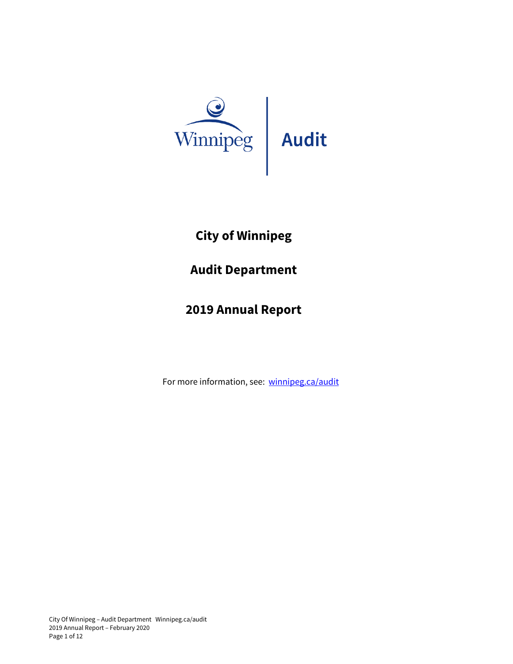

# **City of Winnipeg**

## **Audit Department**

## **2019 Annual Report**

For more information, see: [winnipeg.ca/audit](https://winnipeg.ca/audit/dept_overview.stm)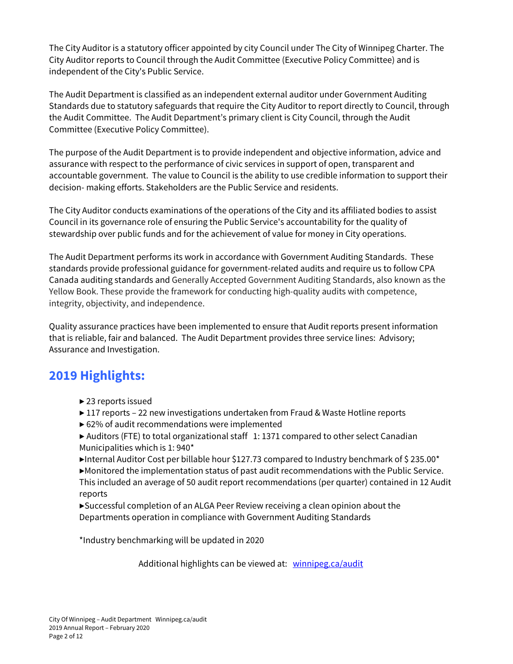The City Auditor is a statutory officer appointed by city Council under The City of Winnipeg Charter. The City Auditor reports to Council through the Audit Committee (Executive Policy Committee) and is independent of the City's Public Service.

The Audit Department is classified as an independent external auditor under Government Auditing Standards due to statutory safeguards that require the City Auditor to report directly to Council, through the Audit Committee. The Audit Department's primary client is City Council, through the Audit Committee (Executive Policy Committee).

The purpose of the Audit Department is to provide independent and objective information, advice and assurance with respect to the performance of civic services in support of open, transparent and accountable government. The value to Council is the ability to use credible information to support their decision- making efforts. Stakeholders are the Public Service and residents.

The City Auditor conducts examinations of the operations of the City and its affiliated bodies to assist Council in its governance role of ensuring the Public Service's accountability for the quality of stewardship over public funds and for the achievement of value for money in City operations.

The Audit Department performs its work in accordance with Government Auditing Standards. These standards provide professional guidance for government-related audits and require us to follow CPA Canada auditing standards and Generally Accepted Government Auditing Standards, also known as the Yellow Book. These provide the framework for conducting high-quality audits with competence, integrity, objectivity, and independence.

Quality assurance practices have been implemented to ensure that Audit reports present information that is reliable, fair and balanced. The Audit Department provides three service lines: Advisory; Assurance and Investigation.

## **2019 Highlights:**

- ▶ 23 reports issued
- ▶ 117 reports 22 new investigations undertaken from Fraud & Waste Hotline reports
- ▶ 62% of audit recommendations were implemented
- ▶ Auditors (FTE) to total organizational staff 1: 1371 compared to other select Canadian Municipalities which is 1: 940\*

Internal Auditor Cost per billable hour \$127.73 compared to Industry benchmark of \$235.00\* ▶Monitored the implementation status of past audit recommendations with the Public Service. This included an average of 50 audit report recommendations (per quarter) contained in 12 Audit reports

▶Successful completion of an ALGA Peer Review receiving a clean opinion about the Departments operation in compliance with Government Auditing Standards

\*Industry benchmarking will be updated in 2020

Additional highlights can be viewed at: [winnipeg.ca/audit](https://winnipeg.ca/audit/default.stm)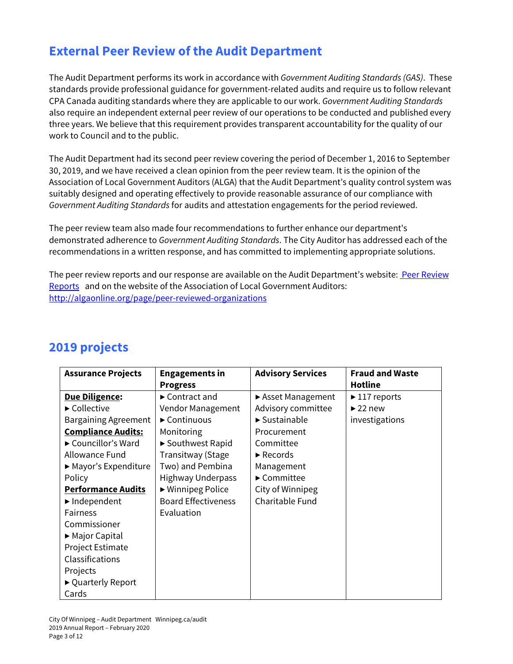## **External Peer Review of the Audit Department**

The Audit Department performs its work in accordance with *Government Auditing Standards (GAS)*. These standards provide professional guidance for government-related audits and require us to follow relevant CPA Canada auditing standards where they are applicable to our work. *Government Auditing Standards* also require an independent external peer review of our operations to be conducted and published every three years. We believe that this requirement provides transparent accountability for the quality of our work to Council and to the public.

The Audit Department had its second peer review covering the period of December 1, 2016 to September 30, 2019, and we have received a clean opinion from the peer review team. It is the opinion of the Association of Local Government Auditors (ALGA) that the Audit Department's quality control system was suitably designed and operating effectively to provide reasonable assurance of our compliance with *Government Auditing Standards* for audits and attestation engagements for the period reviewed.

The peer review team also made four recommendations to further enhance our department's demonstrated adherence to *Government Auditing Standards*. The City Auditor has addressed each of the recommendations in a written response, and has committed to implementing appropriate solutions.

The peer review reports and our response are available on the Audit Department's website: Peer Review [Reports](https://winnipeg.ca/audit/reports.stm#tab-PeerReview) and on the website of the Association of Local Government Auditors: <http://algaonline.org/page/peer-reviewed-organizations>

| <b>Assurance Projects</b>   | <b>Engagements in</b>              | <b>Advisory Services</b>          | <b>Fraud and Waste</b>            |
|-----------------------------|------------------------------------|-----------------------------------|-----------------------------------|
|                             | <b>Progress</b>                    |                                   | <b>Hotline</b>                    |
| <u>Due Diligence:</u>       | $\blacktriangleright$ Contract and | Asset Management                  | $\blacktriangleright$ 117 reports |
| ► Collective                | Vendor Management                  | Advisory committee                | $\blacktriangleright$ 22 new      |
| <b>Bargaining Agreement</b> | $\blacktriangleright$ Continuous   | $\blacktriangleright$ Sustainable | investigations                    |
| <u> Compliance Audits:</u>  | Monitoring                         | Procurement                       |                                   |
| Councillor's Ward           | ▶ Southwest Rapid                  | Committee                         |                                   |
| Allowance Fund              | Transitway (Stage                  | $\blacktriangleright$ Records     |                                   |
| ► Mayor's Expenditure       | Two) and Pembina                   | Management                        |                                   |
| Policy                      | <b>Highway Underpass</b>           | ► Committee                       |                                   |
| <u>Performance Audits</u>   | ► Winnipeg Police                  | City of Winnipeg                  |                                   |
| Independent                 | <b>Board Effectiveness</b>         | Charitable Fund                   |                                   |
| <b>Fairness</b>             | Evaluation                         |                                   |                                   |
| Commissioner                |                                    |                                   |                                   |
| ► Major Capital             |                                    |                                   |                                   |
| Project Estimate            |                                    |                                   |                                   |
| <b>Classifications</b>      |                                    |                                   |                                   |
| Projects                    |                                    |                                   |                                   |
| ► Quarterly Report          |                                    |                                   |                                   |
| Cards                       |                                    |                                   |                                   |

## **2019 projects**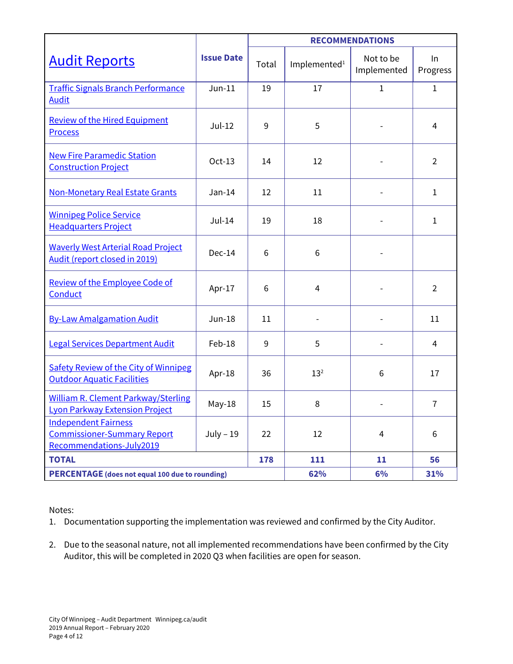|                                                                                               | <b>Issue Date</b> | <b>RECOMMENDATIONS</b> |                          |                          |                |
|-----------------------------------------------------------------------------------------------|-------------------|------------------------|--------------------------|--------------------------|----------------|
| <b>Audit Reports</b>                                                                          |                   | Total                  | Implemented <sup>1</sup> | Not to be<br>Implemented | In<br>Progress |
| <b>Traffic Signals Branch Performance</b><br><b>Audit</b>                                     | $Jun-11$          | 19                     | 17                       | $\mathbf{1}$             | $\mathbf{1}$   |
| <b>Review of the Hired Equipment</b><br><b>Process</b>                                        | $Jul-12$          | 9                      | 5                        |                          | $\overline{4}$ |
| <b>New Fire Paramedic Station</b><br><b>Construction Project</b>                              | Oct-13            | 14                     | 12                       |                          | $\overline{2}$ |
| <b>Non-Monetary Real Estate Grants</b>                                                        | $Jan-14$          | 12                     | 11                       |                          | 1              |
| <b>Winnipeg Police Service</b><br><b>Headquarters Project</b>                                 | $Jul-14$          | 19                     | 18                       |                          | $\mathbf{1}$   |
| <b>Waverly West Arterial Road Project</b><br>Audit (report closed in 2019)                    | Dec-14            | 6                      | 6                        |                          |                |
| <b>Review of the Employee Code of</b><br>Conduct                                              | Apr-17            | 6                      | $\overline{4}$           |                          | $\overline{2}$ |
| <b>By-Law Amalgamation Audit</b>                                                              | $Jun-18$          | 11                     |                          |                          | 11             |
| <b>Legal Services Department Audit</b>                                                        | Feb-18            | 9                      | 5                        |                          | 4              |
| <b>Safety Review of the City of Winnipeg</b><br><b>Outdoor Aquatic Facilities</b>             | Apr-18            | 36                     | $13^{2}$                 | 6                        | 17             |
| <b>William R. Clement Parkway/Sterling</b><br><b>Lyon Parkway Extension Project</b>           | $May-18$          | 15                     | 8                        |                          | $\overline{7}$ |
| <b>Independent Fairness</b><br><b>Commissioner-Summary Report</b><br>Recommendations-July2019 | $July - 19$       | 22                     | 12                       | 4                        | 6              |
| <b>TOTAL</b>                                                                                  |                   | 178                    | 111                      | 11                       | 56             |
| <b>PERCENTAGE</b> (does not equal 100 due to rounding)                                        |                   |                        | 62%                      | 6%                       | 31%            |

Notes:

- 1. Documentation supporting the implementation was reviewed and confirmed by the City Auditor.
- 2. Due to the seasonal nature, not all implemented recommendations have been confirmed by the City Auditor, this will be completed in 2020 Q3 when facilities are open for season.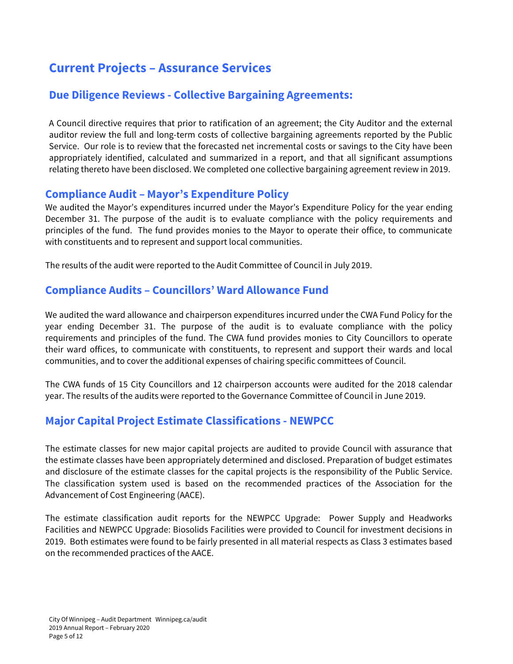## **Current Projects – Assurance Services**

### **Due Diligence Reviews - Collective Bargaining Agreements:**

A Council directive requires that prior to ratification of an agreement; the City Auditor and the external auditor review the full and long-term costs of collective bargaining agreements reported by the Public Service. Our role is to review that the forecasted net incremental costs or savings to the City have been appropriately identified, calculated and summarized in a report, and that all significant assumptions relating thereto have been disclosed. We completed one collective bargaining agreement review in 2019.

#### **Compliance Audit – Mayor's Expenditure Policy**

We audited the Mayor's expenditures incurred under the Mayor's Expenditure Policy for the year ending December 31. The purpose of the audit is to evaluate compliance with the policy requirements and principles of the fund. The fund provides monies to the Mayor to operate their office, to communicate with constituents and to represent and support local communities.

The results of the audit were reported to the Audit Committee of Council in July 2019.

### **Compliance Audits – Councillors' Ward Allowance Fund**

We audited the ward allowance and chairperson expenditures incurred under the CWA Fund Policy for the year ending December 31. The purpose of the audit is to evaluate compliance with the policy requirements and principles of the fund. The CWA fund provides monies to City Councillors to operate their ward offices, to communicate with constituents, to represent and support their wards and local communities, and to cover the additional expenses of chairing specific committees of Council.

The CWA funds of 15 City Councillors and 12 chairperson accounts were audited for the 2018 calendar year. The results of the audits were reported to the Governance Committee of Council in June 2019.

### **Major Capital Project Estimate Classifications - NEWPCC**

The estimate classes for new major capital projects are audited to provide Council with assurance that the estimate classes have been appropriately determined and disclosed. Preparation of budget estimates and disclosure of the estimate classes for the capital projects is the responsibility of the Public Service. The classification system used is based on the recommended practices of the Association for the Advancement of Cost Engineering (AACE).

The estimate classification audit reports for the NEWPCC Upgrade: Power Supply and Headworks Facilities and NEWPCC Upgrade: Biosolids Facilities were provided to Council for investment decisions in 2019. Both estimates were found to be fairly presented in all material respects as Class 3 estimates based on the recommended practices of the AACE.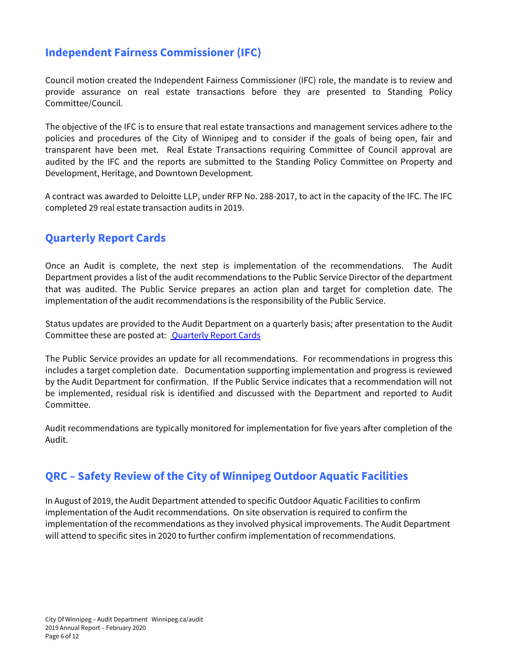### **Independent Fairness Commissioner (IFC)**

Council motion created the Independent Fairness Commissioner (IFC) role, the mandate is to review and provide assurance on real estate transactions before they are presented to Standing Policy Committee/Council.

The objective of the IFC is to ensure that real estate transactions and management services adhere to the policies and procedures of the City of Winnipeg and to consider if the goals of being open, fair and transparent have been met. Real Estate Transactions requiring Committee of Council approval are audited by the IFC and the reports are submitted to the Standing Policy Committee on Property and Development, Heritage, and Downtown Development.

A contract was awarded to Deloitte LLP, under RFP No. 288-2017, to act in the capacity of the IFC. The IFC completed 29 real estate transaction audits in 2019.

### **Quarterly Report Cards**

Once an Audit is complete, the next step is implementation of the recommendations. The Audit Department provides a list of the audit recommendations to the Public Service Director of the department that was audited. The Public Service prepares an action plan and target for completion date. The implementation of the audit recommendations is the responsibility of the Public Service.

Status updates are provided to the Audit Department on a quarterly basis; after presentation to the Audit Committee these are posted at: **[Quarterly Report Cards](https://winnipeg.ca/audit/reports.stm#tab-QuarterlyReports)** 

The Public Service provides an update for all recommendations. For recommendations in progress this includes a target completion date. Documentation supporting implementation and progress is reviewed by the Audit Department for confirmation. If the Public Service indicates that a recommendation will not be implemented, residual risk is identified and discussed with the Department and reported to Audit Committee.

Audit recommendations are typically monitored for implementation for five years after completion of the Audit.

### **QRC – Safety Review of the City of Winnipeg Outdoor Aquatic Facilities**

In August of 2019, the Audit Department attended to specific Outdoor Aquatic Facilities to confirm implementation of the Audit recommendations. On site observation is required to confirm the implementation of the recommendations as they involved physical improvements. The Audit Department will attend to specific sites in 2020 to further confirm implementation of recommendations.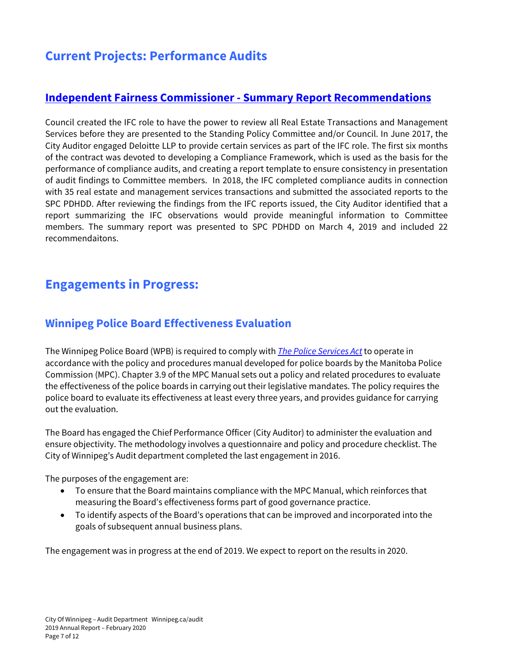## **Current Projects: Performance Audits**

### **[Independent Fairness Commissioner -](https://winnipeg.ca/audit/pdfs/reports/2019/IndependentFairnessCommissioner-SummaryReportRecommendations-July2019.pdf) Summary Report Recommendations**

Council created the IFC role to have the power to review all Real Estate Transactions and Management Services before they are presented to the Standing Policy Committee and/or Council. In June 2017, the City Auditor engaged Deloitte LLP to provide certain services as part of the IFC role. The first six months of the contract was devoted to developing a Compliance Framework, which is used as the basis for the performance of compliance audits, and creating a report template to ensure consistency in presentation of audit findings to Committee members. In 2018, the IFC completed compliance audits in connection with 35 real estate and management services transactions and submitted the associated reports to the SPC PDHDD. After reviewing the findings from the IFC reports issued, the City Auditor identified that a report summarizing the IFC observations would provide meaningful information to Committee members. The summary report was presented to SPC PDHDD on March 4, 2019 and included 22 recommendaitons.

### **Engagements in Progress:**

### **Winnipeg Police Board Effectiveness Evaluation**

The Winnipeg Police Board (WPB) is required to comply with *[The Police Services Act](https://web2.gov.mb.ca/bills/39-3/b016e.php)* to operate in accordance with the policy and procedures manual developed for police boards by the Manitoba Police Commission (MPC). Chapter 3.9 of the MPC Manual sets out a policy and related procedures to evaluate the effectiveness of the police boards in carrying out their legislative mandates. The policy requires the police board to evaluate its effectiveness at least every three years, and provides guidance for carrying out the evaluation.

The Board has engaged the Chief Performance Officer (City Auditor) to administer the evaluation and ensure objectivity. The methodology involves a questionnaire and policy and procedure checklist. The City of Winnipeg's Audit department completed the last engagement in 2016.

The purposes of the engagement are:

- To ensure that the Board maintains compliance with the MPC Manual, which reinforces that measuring the Board's effectiveness forms part of good governance practice.
- To identify aspects of the Board's operations that can be improved and incorporated into the goals of subsequent annual business plans.

The engagement was in progress at the end of 2019. We expect to report on the results in 2020.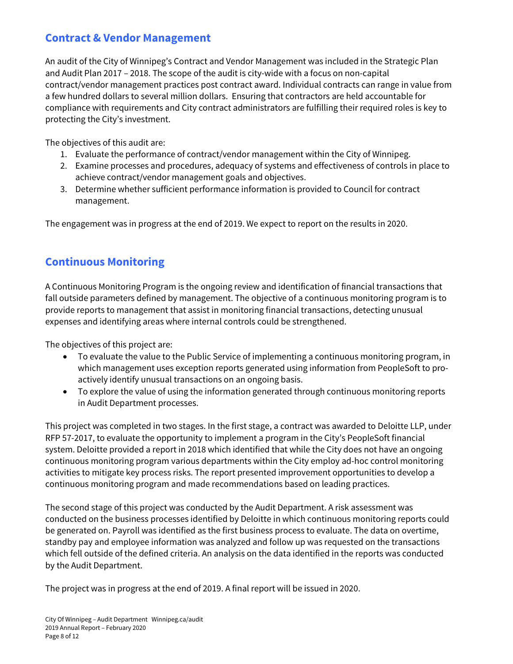### **Contract & Vendor Management**

An audit of the City of Winnipeg's Contract and Vendor Management was included in the Strategic Plan and Audit Plan 2017 – 2018. The scope of the audit is city-wide with a focus on non-capital contract/vendor management practices post contract award. Individual contracts can range in value from a few hundred dollars to several million dollars. Ensuring that contractors are held accountable for compliance with requirements and City contract administrators are fulfilling their required roles is key to protecting the City's investment.

The objectives of this audit are:

- 1. Evaluate the performance of contract/vendor management within the City of Winnipeg.
- 2. Examine processes and procedures, adequacy of systems and effectiveness of controls in place to achieve contract/vendor management goals and objectives.
- 3. Determine whether sufficient performance information is provided to Council for contract management.

The engagement was in progress at the end of 2019. We expect to report on the results in 2020.

### **Continuous Monitoring**

A Continuous Monitoring Program is the ongoing review and identification of financial transactions that fall outside parameters defined by management. The objective of a continuous monitoring program is to provide reports to management that assist in monitoring financial transactions, detecting unusual expenses and identifying areas where internal controls could be strengthened.

The objectives of this project are:

- To evaluate the value to the Public Service of implementing a continuous monitoring program, in which management uses exception reports generated using information from PeopleSoft to proactively identify unusual transactions on an ongoing basis.
- To explore the value of using the information generated through continuous monitoring reports in Audit Department processes.

This project was completed in two stages. In the first stage, a contract was awarded to Deloitte LLP, under RFP 57-2017, to evaluate the opportunity to implement a program in the City's PeopleSoft financial system. Deloitte provided a report in 2018 which identified that while the City does not have an ongoing continuous monitoring program various departments within the City employ ad-hoc control monitoring activities to mitigate key process risks. The report presented improvement opportunities to develop a continuous monitoring program and made recommendations based on leading practices.

The second stage of this project was conducted by the Audit Department. A risk assessment was conducted on the business processes identified by Deloitte in which continuous monitoring reports could be generated on. Payroll was identified as the first business process to evaluate. The data on overtime, standby pay and employee information was analyzed and follow up was requested on the transactions which fell outside of the defined criteria. An analysis on the data identified in the reports was conducted by the Audit Department.

The project was in progress at the end of 2019. A final report will be issued in 2020.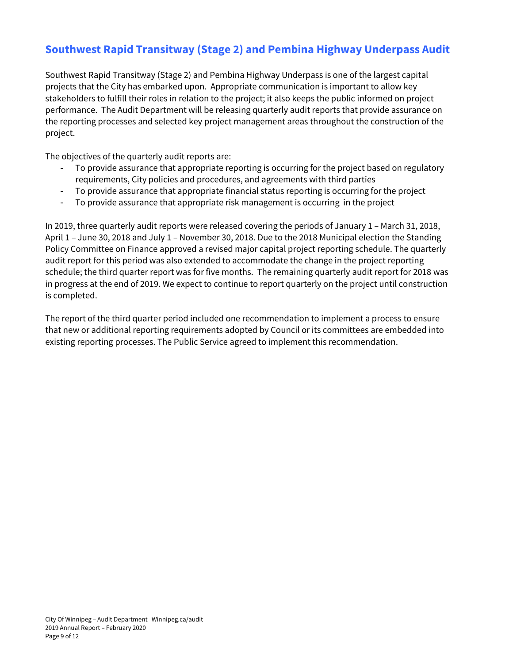### **Southwest Rapid Transitway (Stage 2) and Pembina Highway Underpass Audit**

Southwest Rapid Transitway (Stage 2) and Pembina Highway Underpass is one of the largest capital projects that the City has embarked upon. Appropriate communication is important to allow key stakeholders to fulfill their roles in relation to the project; it also keeps the public informed on project performance. The Audit Department will be releasing quarterly audit reports that provide assurance on the reporting processes and selected key project management areas throughout the construction of the project.

The objectives of the quarterly audit reports are:

- To provide assurance that appropriate reporting is occurring for the project based on regulatory requirements, City policies and procedures, and agreements with third parties
- To provide assurance that appropriate financial status reporting is occurring for the project
- To provide assurance that appropriate risk management is occurring in the project

In 2019, three quarterly audit reports were released covering the periods of January 1 – March 31, 2018, April 1 – June 30, 2018 and July 1 – November 30, 2018. Due to the 2018 Municipal election the Standing Policy Committee on Finance approved a revised major capital project reporting schedule. The quarterly audit report for this period was also extended to accommodate the change in the project reporting schedule; the third quarter report was for five months. The remaining quarterly audit report for 2018 was in progress at the end of 2019. We expect to continue to report quarterly on the project until construction is completed.

The report of the third quarter period included one recommendation to implement a process to ensure that new or additional reporting requirements adopted by Council or its committees are embedded into existing reporting processes. The Public Service agreed to implement this recommendation.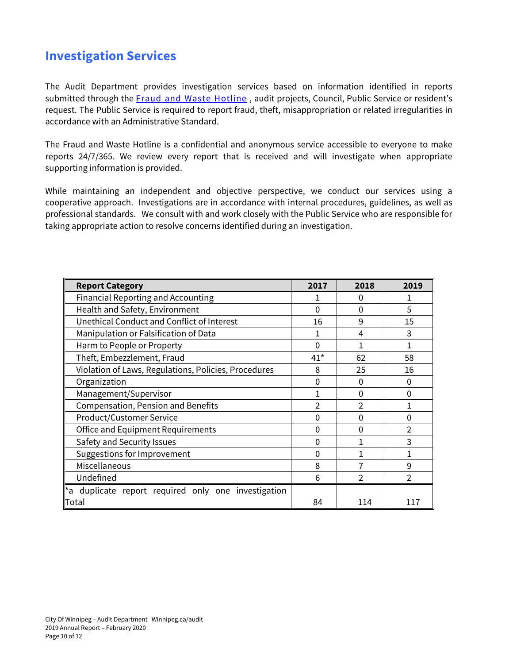## **Investigation Services**

The Audit Department provides investigation services based on information identified in reports submitted through the [Fraud and Waste Hotline](https://winnipeg.ca/audit/hotline.stm), audit projects, Council, Public Service or resident's request. The Public Service is required to report fraud, theft, misappropriation or related irregularities in accordance with an Administrative Standard.

The Fraud and Waste Hotline is a confidential and anonymous service accessible to everyone to make reports 24/7/365. We review every report that is received and will investigate when appropriate supporting information is provided.

While maintaining an independent and objective perspective, we conduct our services using a cooperative approach. Investigations are in accordance with internal procedures, guidelines, as well as professional standards. We consult with and work closely with the Public Service who are responsible for taking appropriate action to resolve concerns identified during an investigation.

| <b>Report Category</b>                               | 2017  | 2018     | 2019           |
|------------------------------------------------------|-------|----------|----------------|
| <b>Financial Reporting and Accounting</b>            |       | 0        |                |
| Health and Safety, Environment                       | 0     | $\Omega$ | 5              |
| Unethical Conduct and Conflict of Interest           | 16    | 9        | 15             |
| Manipulation or Falsification of Data                |       | 4        | 3              |
| Harm to People or Property                           | 0     |          |                |
| Theft, Embezzlement, Fraud                           | $41*$ | 62       | 58             |
| Violation of Laws, Regulations, Policies, Procedures | 8     | 25       | 16             |
| Organization                                         | 0     | 0        | 0              |
| Management/Supervisor                                |       | $\Omega$ | 0              |
| <b>Compensation, Pension and Benefits</b>            | 2     | C        |                |
| <b>Product/Customer Service</b>                      | 0     | $\Omega$ | 0              |
| <b>Office and Equipment Requirements</b>             | 0     | $\Omega$ | $\overline{2}$ |
| Safety and Security Issues                           | 0     |          | 3              |
| Suggestions for Improvement                          | 0     |          |                |
| Miscellaneous                                        | 8     |          | 9              |
| Undefined                                            | 6     | 2        | 2              |
| *a duplicate report required only one investigation  |       |          |                |
| Total                                                | 84    | 114      | 117            |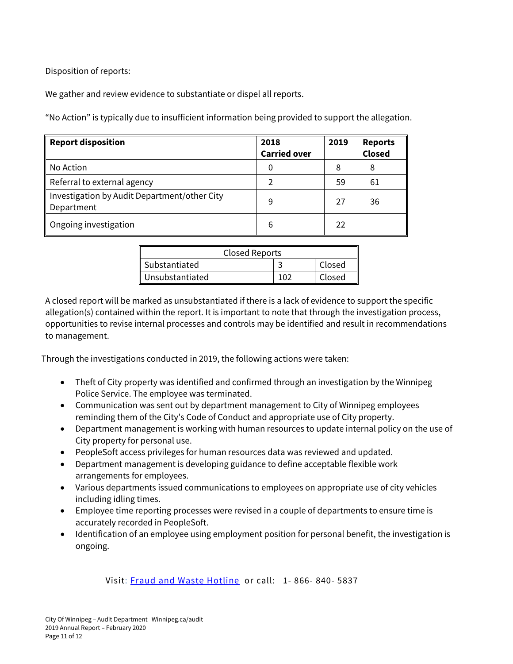Disposition of reports:

We gather and review evidence to substantiate or dispel all reports.

"No Action" is typically due to insufficient information being provided to support the allegation.

| <b>Report disposition</b>                                  | 2018<br><b>Carried over</b> | 2019 | <b>Reports</b><br><b>Closed</b> |
|------------------------------------------------------------|-----------------------------|------|---------------------------------|
| No Action                                                  | 0                           | 8    | 8                               |
| Referral to external agency                                |                             | 59   | 61                              |
| Investigation by Audit Department/other City<br>Department | 9                           | 27   | 36                              |
| Ongoing investigation                                      | 6                           | 22   |                                 |

| <b>Closed Reports</b> |  |        |  |
|-----------------------|--|--------|--|
| Substantiated         |  | Closed |  |
| Unsubstantiated       |  | Closed |  |

A closed report will be marked as unsubstantiated if there is a lack of evidence to support the specific allegation(s) contained within the report. It is important to note that through the investigation process, opportunities to revise internal processes and controls may be identified and result in recommendations to management.

Through the investigations conducted in 2019, the following actions were taken:

- Theft of City property was identified and confirmed through an investigation by the Winnipeg Police Service. The employee was terminated.
- Communication was sent out by department management to City of Winnipeg employees reminding them of the City's Code of Conduct and appropriate use of City property.
- Department management is working with human resources to update internal policy on the use of City property for personal use.
- PeopleSoft access privileges for human resources data was reviewed and updated.
- Department management is developing guidance to define acceptable flexible work arrangements for employees.
- Various departments issued communications to employees on appropriate use of city vehicles including idling times.
- Employee time reporting processes were revised in a couple of departments to ensure time is accurately recorded in PeopleSoft.
- Identification of an employee using employment position for personal benefit, the investigation is ongoing.

Visit: [Fraud and Waste Hotline](https://winnipeg.ca/audit/hotline.stm) or call: 1- 866- 840- 5837